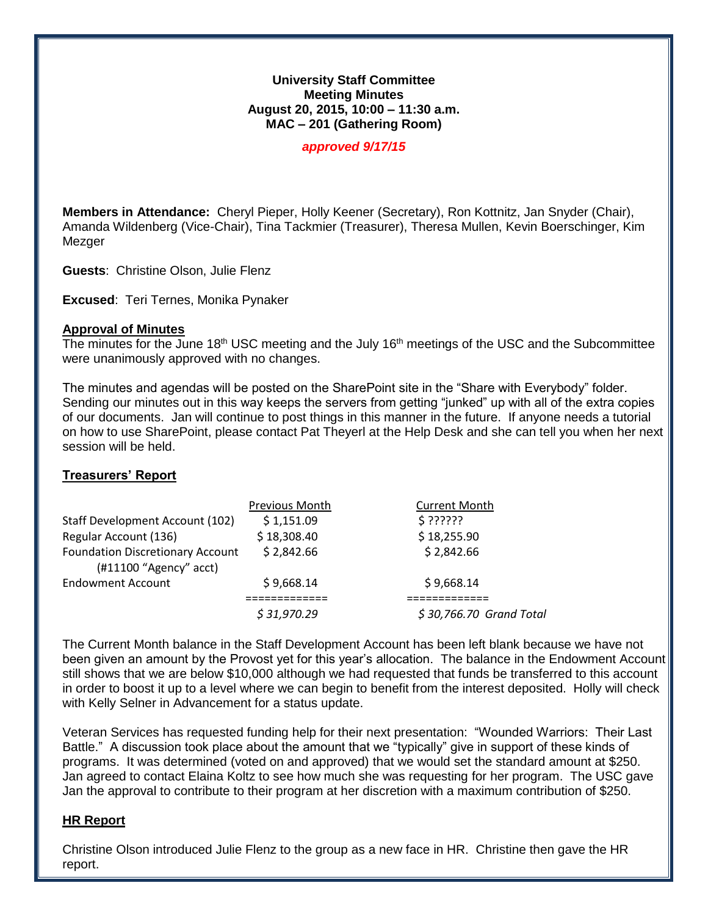#### **University Staff Committee Meeting Minutes August 20, 2015, 10:00 – 11:30 a.m. MAC – 201 (Gathering Room)**

*approved 9/17/15*

**Members in Attendance:** Cheryl Pieper, Holly Keener (Secretary), Ron Kottnitz, Jan Snyder (Chair), Amanda Wildenberg (Vice-Chair), Tina Tackmier (Treasurer), Theresa Mullen, Kevin Boerschinger, Kim Mezger

**Guests**: Christine Olson, Julie Flenz

**Excused**: Teri Ternes, Monika Pynaker

#### **Approval of Minutes**

The minutes for the June 18<sup>th</sup> USC meeting and the July 16<sup>th</sup> meetings of the USC and the Subcommittee were unanimously approved with no changes.

The minutes and agendas will be posted on the SharePoint site in the "Share with Everybody" folder. Sending our minutes out in this way keeps the servers from getting "junked" up with all of the extra copies of our documents. Jan will continue to post things in this manner in the future. If anyone needs a tutorial on how to use SharePoint, please contact Pat Theyerl at the Help Desk and she can tell you when her next session will be held.

## **Treasurers' Report**

|                                                                   | <b>Previous Month</b> | <b>Current Month</b>    |
|-------------------------------------------------------------------|-----------------------|-------------------------|
| Staff Development Account (102)                                   | \$1,151.09            | \$??????                |
| Regular Account (136)                                             | \$18,308.40           | \$18,255.90             |
| <b>Foundation Discretionary Account</b><br>(#11100 "Agency" acct) | \$2,842.66            | \$2,842.66              |
| <b>Endowment Account</b>                                          | \$9,668.14            | \$9,668.14              |
|                                                                   | \$31,970.29           | \$30,766.70 Grand Total |
|                                                                   |                       |                         |

The Current Month balance in the Staff Development Account has been left blank because we have not been given an amount by the Provost yet for this year's allocation. The balance in the Endowment Account still shows that we are below \$10,000 although we had requested that funds be transferred to this account in order to boost it up to a level where we can begin to benefit from the interest deposited. Holly will check with Kelly Selner in Advancement for a status update.

Veteran Services has requested funding help for their next presentation: "Wounded Warriors: Their Last Battle." A discussion took place about the amount that we "typically" give in support of these kinds of programs. It was determined (voted on and approved) that we would set the standard amount at \$250. Jan agreed to contact Elaina Koltz to see how much she was requesting for her program. The USC gave Jan the approval to contribute to their program at her discretion with a maximum contribution of \$250.

# **HR Report**

Christine Olson introduced Julie Flenz to the group as a new face in HR. Christine then gave the HR report.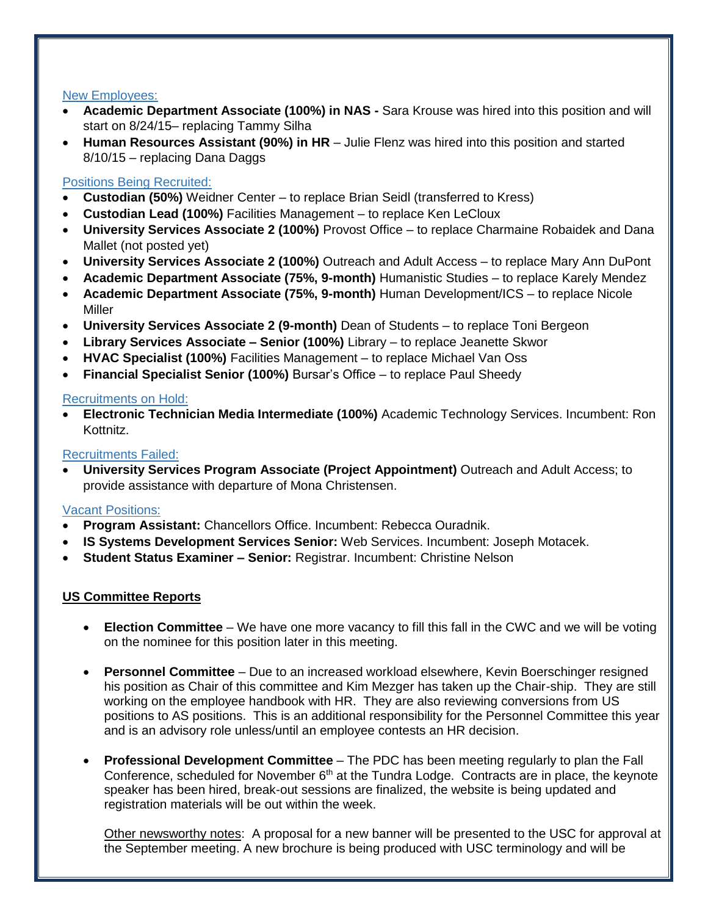## New Employees:

- **Academic Department Associate (100%) in NAS -** Sara Krouse was hired into this position and will start on 8/24/15– replacing Tammy Silha
- **Human Resources Assistant (90%) in HR**  Julie Flenz was hired into this position and started 8/10/15 – replacing Dana Daggs

# Positions Being Recruited:

- **Custodian (50%)** Weidner Center to replace Brian Seidl (transferred to Kress)
- **Custodian Lead (100%)** Facilities Management to replace Ken LeCloux
- **University Services Associate 2 (100%)** Provost Office to replace Charmaine Robaidek and Dana Mallet (not posted yet)
- **University Services Associate 2 (100%)** Outreach and Adult Access to replace Mary Ann DuPont
- **Academic Department Associate (75%, 9-month)** Humanistic Studies to replace Karely Mendez
- **Academic Department Associate (75%, 9-month)** Human Development/ICS to replace Nicole Miller
- **University Services Associate 2 (9-month)** Dean of Students to replace Toni Bergeon
- **Library Services Associate – Senior (100%)** Library to replace Jeanette Skwor
- **HVAC Specialist (100%)** Facilities Management to replace Michael Van Oss
- **Financial Specialist Senior (100%)** Bursar's Office to replace Paul Sheedy

## Recruitments on Hold:

 **Electronic Technician Media Intermediate (100%)** Academic Technology Services. Incumbent: Ron Kottnitz.

#### Recruitments Failed:

 **University Services Program Associate (Project Appointment)** Outreach and Adult Access; to provide assistance with departure of Mona Christensen.

## Vacant Positions:

- **Program Assistant:** Chancellors Office. Incumbent: Rebecca Ouradnik.
- **IS Systems Development Services Senior:** Web Services. Incumbent: Joseph Motacek.
- **Student Status Examiner – Senior:** Registrar. Incumbent: Christine Nelson

## **US Committee Reports**

- **Election Committee**  We have one more vacancy to fill this fall in the CWC and we will be voting on the nominee for this position later in this meeting.
- **Personnel Committee** Due to an increased workload elsewhere, Kevin Boerschinger resigned his position as Chair of this committee and Kim Mezger has taken up the Chair-ship. They are still working on the employee handbook with HR. They are also reviewing conversions from US positions to AS positions. This is an additional responsibility for the Personnel Committee this year and is an advisory role unless/until an employee contests an HR decision.
- **Professional Development Committee** The PDC has been meeting regularly to plan the Fall Conference, scheduled for November  $6<sup>th</sup>$  at the Tundra Lodge. Contracts are in place, the keynote speaker has been hired, break-out sessions are finalized, the website is being updated and registration materials will be out within the week.

Other newsworthy notes: A proposal for a new banner will be presented to the USC for approval at the September meeting. A new brochure is being produced with USC terminology and will be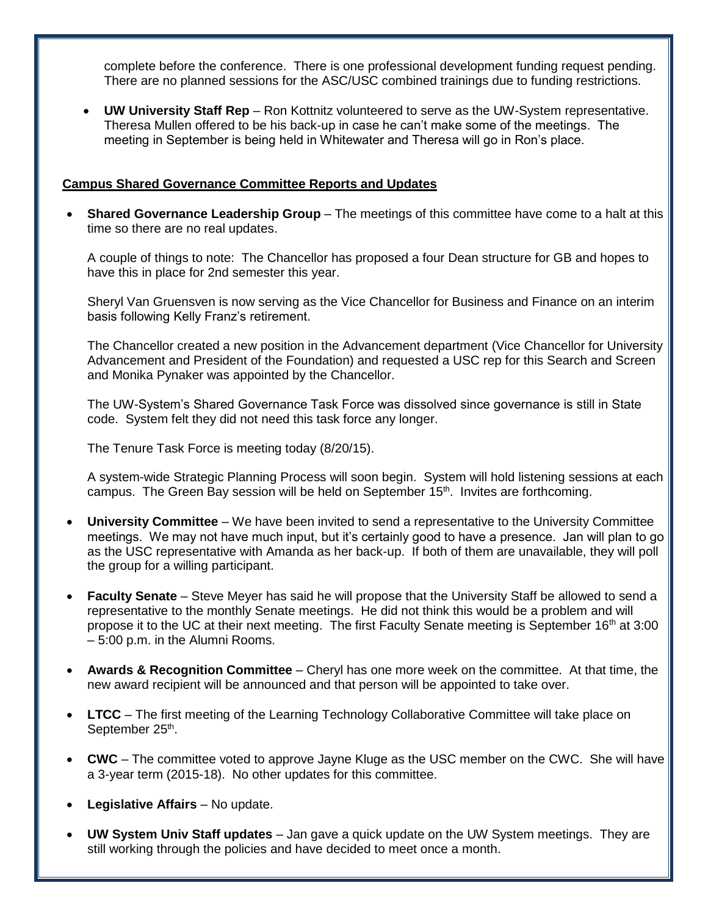complete before the conference. There is one professional development funding request pending. There are no planned sessions for the ASC/USC combined trainings due to funding restrictions.

 **UW University Staff Rep** – Ron Kottnitz volunteered to serve as the UW-System representative. Theresa Mullen offered to be his back-up in case he can't make some of the meetings. The meeting in September is being held in Whitewater and Theresa will go in Ron's place.

## **Campus Shared Governance Committee Reports and Updates**

 **Shared Governance Leadership Group** – The meetings of this committee have come to a halt at this time so there are no real updates.

A couple of things to note: The Chancellor has proposed a four Dean structure for GB and hopes to have this in place for 2nd semester this year.

Sheryl Van Gruensven is now serving as the Vice Chancellor for Business and Finance on an interim basis following Kelly Franz's retirement.

The Chancellor created a new position in the Advancement department (Vice Chancellor for University Advancement and President of the Foundation) and requested a USC rep for this Search and Screen and Monika Pynaker was appointed by the Chancellor.

The UW-System's Shared Governance Task Force was dissolved since governance is still in State code. System felt they did not need this task force any longer.

The Tenure Task Force is meeting today (8/20/15).

A system-wide Strategic Planning Process will soon begin. System will hold listening sessions at each campus. The Green Bay session will be held on September  $15<sup>th</sup>$ . Invites are forthcoming.

- **University Committee** We have been invited to send a representative to the University Committee meetings. We may not have much input, but it's certainly good to have a presence. Jan will plan to go as the USC representative with Amanda as her back-up. If both of them are unavailable, they will poll the group for a willing participant.
- **Faculty Senate**  Steve Meyer has said he will propose that the University Staff be allowed to send a representative to the monthly Senate meetings. He did not think this would be a problem and will propose it to the UC at their next meeting. The first Faculty Senate meeting is September 16<sup>th</sup> at 3:00 – 5:00 p.m. in the Alumni Rooms.
- **Awards & Recognition Committee** Cheryl has one more week on the committee. At that time, the new award recipient will be announced and that person will be appointed to take over.
- LTCC The first meeting of the Learning Technology Collaborative Committee will take place on September 25<sup>th</sup>.
- **CWC**  The committee voted to approve Jayne Kluge as the USC member on the CWC. She will have a 3-year term (2015-18). No other updates for this committee.
- **Legislative Affairs** No update.
- **UW System Univ Staff updates**  Jan gave a quick update on the UW System meetings. They are still working through the policies and have decided to meet once a month.